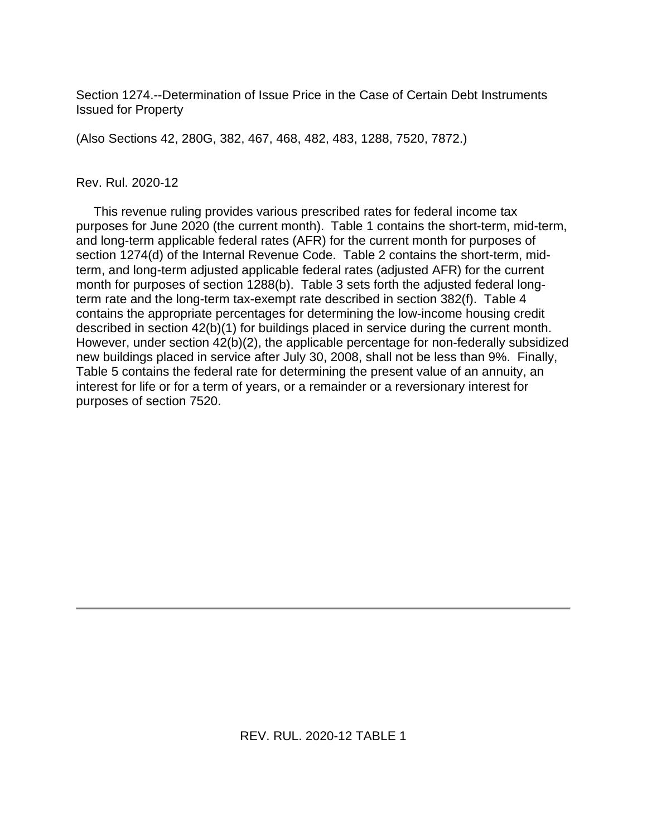Section 1274.--Determination of Issue Price in the Case of Certain Debt Instruments Issued for Property

(Also Sections 42, 280G, 382, 467, 468, 482, 483, 1288, 7520, 7872.)

#### Rev. Rul. 2020-12

 This revenue ruling provides various prescribed rates for federal income tax purposes for June 2020 (the current month). Table 1 contains the short-term, mid-term, and long-term applicable federal rates (AFR) for the current month for purposes of section 1274(d) of the Internal Revenue Code. Table 2 contains the short-term, midterm, and long-term adjusted applicable federal rates (adjusted AFR) for the current month for purposes of section 1288(b). Table 3 sets forth the adjusted federal longterm rate and the long-term tax-exempt rate described in section 382(f). Table 4 contains the appropriate percentages for determining the low-income housing credit described in section 42(b)(1) for buildings placed in service during the current month. However, under section 42(b)(2), the applicable percentage for non-federally subsidized new buildings placed in service after July 30, 2008, shall not be less than 9%. Finally, Table 5 contains the federal rate for determining the present value of an annuity, an interest for life or for a term of years, or a remainder or a reversionary interest for purposes of section 7520.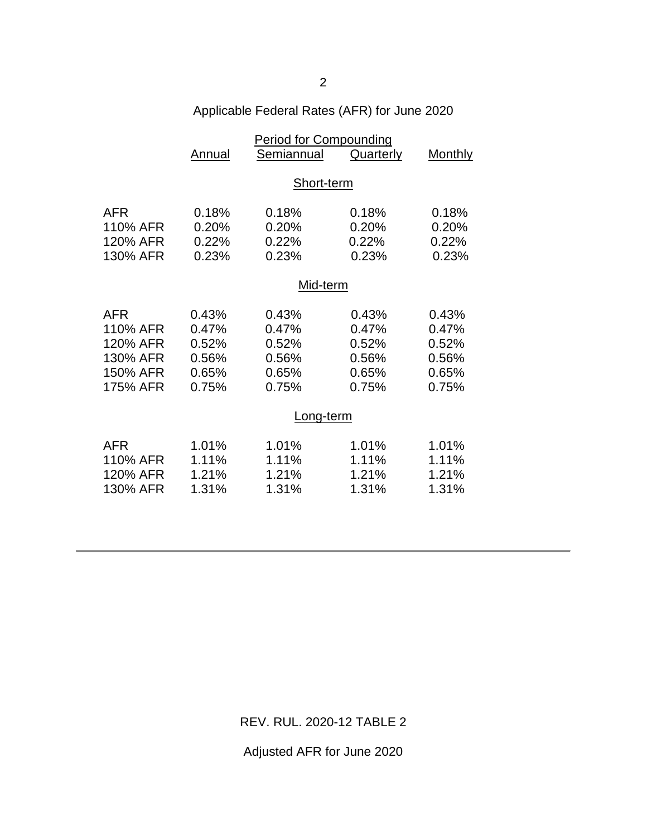| Applicable Federal Rates (AFR) for June 2020 |  |  |  |  |  |
|----------------------------------------------|--|--|--|--|--|
|----------------------------------------------|--|--|--|--|--|

|                                                                                                       | <b>Period for Compounding</b>                                                 |                                                                               |                                                                               |                                                                               |  |
|-------------------------------------------------------------------------------------------------------|-------------------------------------------------------------------------------|-------------------------------------------------------------------------------|-------------------------------------------------------------------------------|-------------------------------------------------------------------------------|--|
|                                                                                                       | Annual                                                                        | Semiannual                                                                    | <b>Quarterly</b>                                                              | <b>Monthly</b>                                                                |  |
|                                                                                                       |                                                                               |                                                                               |                                                                               |                                                                               |  |
|                                                                                                       |                                                                               | Short-term                                                                    |                                                                               |                                                                               |  |
| <b>AFR</b>                                                                                            | 0.18%                                                                         | 0.18%                                                                         | 0.18%                                                                         | 0.18%                                                                         |  |
| 110% AFR                                                                                              | 0.20%                                                                         | 0.20%                                                                         | 0.20%                                                                         | 0.20%                                                                         |  |
| 120% AFR                                                                                              | 0.22%                                                                         | 0.22%                                                                         | 0.22%                                                                         | 0.22%                                                                         |  |
| 130% AFR                                                                                              | 0.23%                                                                         | 0.23%                                                                         | 0.23%                                                                         | 0.23%                                                                         |  |
|                                                                                                       |                                                                               |                                                                               |                                                                               |                                                                               |  |
|                                                                                                       | Mid-term                                                                      |                                                                               |                                                                               |                                                                               |  |
|                                                                                                       |                                                                               |                                                                               |                                                                               |                                                                               |  |
|                                                                                                       |                                                                               |                                                                               |                                                                               |                                                                               |  |
|                                                                                                       |                                                                               |                                                                               |                                                                               |                                                                               |  |
|                                                                                                       |                                                                               |                                                                               |                                                                               |                                                                               |  |
|                                                                                                       |                                                                               |                                                                               |                                                                               |                                                                               |  |
| 175% AFR                                                                                              | 0.75%                                                                         | 0.75%                                                                         | 0.75%                                                                         | 0.75%                                                                         |  |
|                                                                                                       |                                                                               |                                                                               |                                                                               |                                                                               |  |
|                                                                                                       | Long-term                                                                     |                                                                               |                                                                               |                                                                               |  |
|                                                                                                       |                                                                               |                                                                               |                                                                               |                                                                               |  |
|                                                                                                       |                                                                               |                                                                               |                                                                               |                                                                               |  |
|                                                                                                       |                                                                               |                                                                               |                                                                               |                                                                               |  |
|                                                                                                       |                                                                               |                                                                               |                                                                               |                                                                               |  |
|                                                                                                       |                                                                               |                                                                               |                                                                               |                                                                               |  |
| <b>AFR</b><br>110% AFR<br>120% AFR<br>130% AFR<br>150% AFR<br>AFR<br>110% AFR<br>120% AFR<br>130% AFR | 0.43%<br>0.47%<br>0.52%<br>0.56%<br>0.65%<br>1.01%<br>1.11%<br>1.21%<br>1.31% | 0.43%<br>0.47%<br>0.52%<br>0.56%<br>0.65%<br>1.01%<br>1.11%<br>1.21%<br>1.31% | 0.43%<br>0.47%<br>0.52%<br>0.56%<br>0.65%<br>1.01%<br>1.11%<br>1.21%<br>1.31% | 0.43%<br>0.47%<br>0.52%<br>0.56%<br>0.65%<br>1.01%<br>1.11%<br>1.21%<br>1.31% |  |

REV. RUL. 2020-12 TABLE 2

Adjusted AFR for June 2020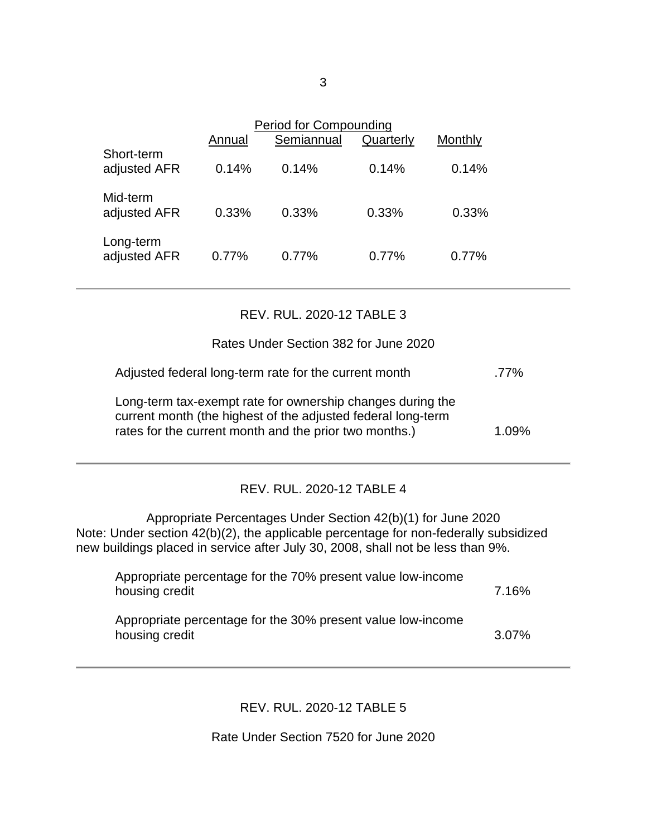|                            | Annual | <b>Period for Compounding</b><br>Semiannual | Quarterly | Monthly |  |
|----------------------------|--------|---------------------------------------------|-----------|---------|--|
| Short-term<br>adjusted AFR | 0.14%  | 0.14%                                       | 0.14%     | 0.14%   |  |
| Mid-term<br>adjusted AFR   | 0.33%  | 0.33%                                       | 0.33%     | 0.33%   |  |
| Long-term<br>adjusted AFR  | 0.77%  | 0.77%                                       | 0.77%     | 0.77%   |  |

### REV. RUL. 2020-12 TABLE 3

### Rates Under Section 382 for June 2020

| Adjusted federal long-term rate for the current month | .77% |
|-------------------------------------------------------|------|
|-------------------------------------------------------|------|

Long-term tax-exempt rate for ownership changes during the current month (the highest of the adjusted federal long-term rates for the current month and the prior two months.) 1.09%

# REV. RUL. 2020-12 TABLE 4

Appropriate Percentages Under Section 42(b)(1) for June 2020 Note: Under section 42(b)(2), the applicable percentage for non-federally subsidized new buildings placed in service after July 30, 2008, shall not be less than 9%.

| Appropriate percentage for the 70% present value low-income<br>housing credit | 7.16%    |
|-------------------------------------------------------------------------------|----------|
| Appropriate percentage for the 30% present value low-income<br>housing credit | $3.07\%$ |

# REV. RUL. 2020-12 TABLE 5

Rate Under Section 7520 for June 2020